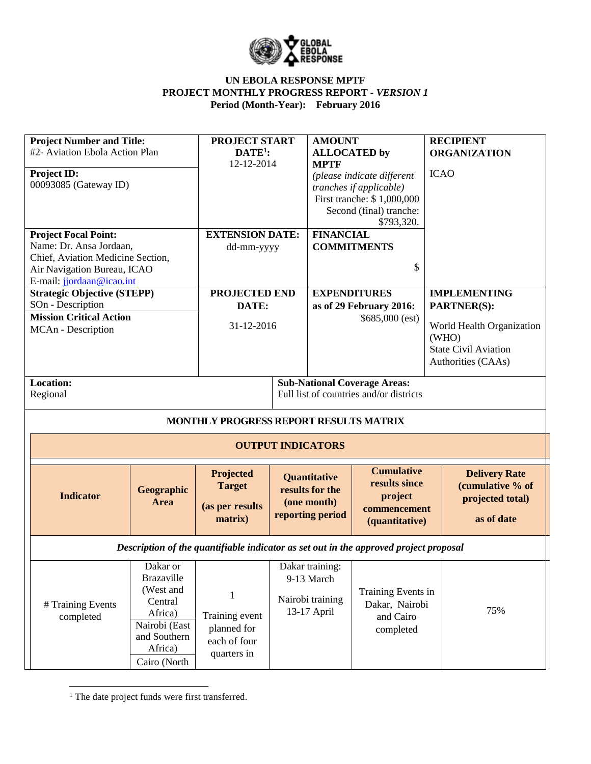

| <b>Project Number and Title:</b>   |                   | <b>PROJECT START</b>                   |  | <b>AMOUNT</b>              |                                                                                       | <b>RECIPIENT</b>                   |  |
|------------------------------------|-------------------|----------------------------------------|--|----------------------------|---------------------------------------------------------------------------------------|------------------------------------|--|
| #2- Aviation Ebola Action Plan     |                   | $DATE1$ :                              |  | <b>ALLOCATED</b> by        |                                                                                       | <b>ORGANIZATION</b>                |  |
|                                    |                   | 12-12-2014                             |  | <b>MPTF</b>                |                                                                                       |                                    |  |
| Project ID:                        |                   |                                        |  | (please indicate different |                                                                                       | <b>ICAO</b>                        |  |
| 00093085 (Gateway ID)              |                   |                                        |  |                            | tranches if applicable)                                                               |                                    |  |
|                                    |                   |                                        |  |                            | First tranche: \$1,000,000                                                            |                                    |  |
|                                    |                   |                                        |  |                            | Second (final) tranche:                                                               |                                    |  |
|                                    |                   |                                        |  |                            | \$793,320.                                                                            |                                    |  |
| <b>Project Focal Point:</b>        |                   | <b>EXTENSION DATE:</b>                 |  | <b>FINANCIAL</b>           |                                                                                       |                                    |  |
| Name: Dr. Ansa Jordaan,            |                   | dd-mm-yyyy                             |  | <b>COMMITMENTS</b>         |                                                                                       |                                    |  |
| Chief, Aviation Medicine Section,  |                   |                                        |  |                            |                                                                                       |                                    |  |
| Air Navigation Bureau, ICAO        |                   |                                        |  |                            | \$                                                                                    |                                    |  |
| E-mail: jjordaan@icao.int          |                   |                                        |  |                            |                                                                                       |                                    |  |
| <b>Strategic Objective (STEPP)</b> |                   | <b>PROJECTED END</b>                   |  | <b>EXPENDITURES</b>        |                                                                                       | <b>IMPLEMENTING</b>                |  |
| SOn - Description                  |                   | DATE:                                  |  |                            | as of 29 February 2016:                                                               | <b>PARTNER(S):</b>                 |  |
| <b>Mission Critical Action</b>     |                   |                                        |  |                            | \$685,000 (est)                                                                       |                                    |  |
| MCAn - Description                 |                   | 31-12-2016                             |  |                            |                                                                                       | World Health Organization<br>(WHO) |  |
|                                    |                   |                                        |  |                            |                                                                                       | <b>State Civil Aviation</b>        |  |
|                                    |                   |                                        |  |                            |                                                                                       | Authorities (CAAs)                 |  |
|                                    |                   |                                        |  |                            |                                                                                       |                                    |  |
| <b>Location:</b>                   |                   |                                        |  |                            | <b>Sub-National Coverage Areas:</b>                                                   |                                    |  |
| Regional                           |                   |                                        |  |                            | Full list of countries and/or districts                                               |                                    |  |
|                                    |                   |                                        |  |                            |                                                                                       |                                    |  |
|                                    |                   | MONTHLY PROGRESS REPORT RESULTS MATRIX |  |                            |                                                                                       |                                    |  |
|                                    |                   |                                        |  | <b>OUTPUT INDICATORS</b>   |                                                                                       |                                    |  |
|                                    |                   | Projected                              |  | <b>Quantitative</b>        | <b>Cumulative</b><br>results since                                                    | <b>Delivery Rate</b>               |  |
| <b>Indicator</b>                   | Geographic        | <b>Target</b>                          |  | results for the            |                                                                                       | (cumulative % of                   |  |
|                                    | Area              | (as per results                        |  | (one month)                | project                                                                               | projected total)                   |  |
|                                    |                   | matrix)                                |  | reporting period           | commencement<br>(quantitative)                                                        | as of date                         |  |
|                                    |                   |                                        |  |                            |                                                                                       |                                    |  |
|                                    |                   |                                        |  |                            | Description of the quantifiable indicator as set out in the approved project proposal |                                    |  |
|                                    | Dakar or          |                                        |  | Dakar training:            |                                                                                       |                                    |  |
|                                    | <b>Brazaville</b> |                                        |  | 9-13 March                 |                                                                                       |                                    |  |
|                                    | (West and         |                                        |  |                            | Training Events in                                                                    |                                    |  |
| # Training Events                  | Central           | 1                                      |  | Nairobi training           | Dakar, Nairobi                                                                        |                                    |  |
| completed                          | Africa)           | Training event                         |  | 13-17 April                | and Cairo                                                                             | 75%                                |  |
|                                    | Nairobi (East     | planned for                            |  |                            |                                                                                       |                                    |  |
|                                    | and Southern      | each of four                           |  |                            | completed                                                                             |                                    |  |
|                                    | Africa)           |                                        |  |                            |                                                                                       |                                    |  |
|                                    |                   | quarters in                            |  |                            |                                                                                       |                                    |  |

<sup>1</sup> The date project funds were first transferred.

 $\overline{\phantom{a}}$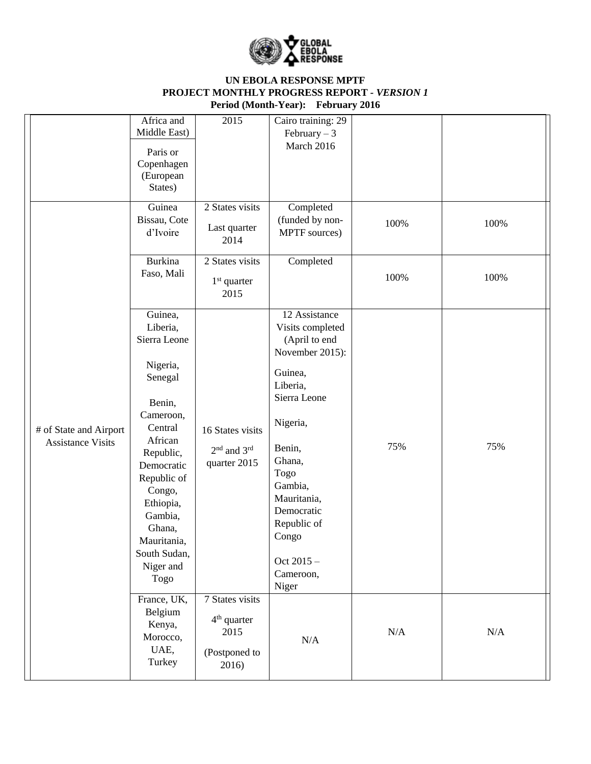

|                                                    | Africa and<br>Middle East)<br>Paris or<br>Copenhagen<br>(European<br>States)                                                                                                                                                                      | 2015                                                                    | Cairo training: 29<br>February $-3$<br>March 2016                                                                                                                                                                                                       |      |      |
|----------------------------------------------------|---------------------------------------------------------------------------------------------------------------------------------------------------------------------------------------------------------------------------------------------------|-------------------------------------------------------------------------|---------------------------------------------------------------------------------------------------------------------------------------------------------------------------------------------------------------------------------------------------------|------|------|
|                                                    | Guinea<br>Bissau, Cote<br>d'Ivoire                                                                                                                                                                                                                | 2 States visits<br>Last quarter<br>2014                                 | Completed<br>(funded by non-<br>MPTF sources)                                                                                                                                                                                                           | 100% | 100% |
|                                                    | <b>Burkina</b><br>Faso, Mali                                                                                                                                                                                                                      | 2 States visits<br>$1st$ quarter<br>2015                                | Completed                                                                                                                                                                                                                                               | 100% | 100% |
| # of State and Airport<br><b>Assistance Visits</b> | Guinea,<br>Liberia,<br>Sierra Leone<br>Nigeria,<br>Senegal<br>Benin,<br>Cameroon,<br>Central<br>African<br>Republic,<br>Democratic<br>Republic of<br>Congo,<br>Ethiopia,<br>Gambia,<br>Ghana,<br>Mauritania,<br>South Sudan,<br>Niger and<br>Togo | 16 States visits<br>2 <sup>nd</sup> and 3 <sup>rd</sup><br>quarter 2015 | 12 Assistance<br>Visits completed<br>(April to end<br>November 2015):<br>Guinea,<br>Liberia,<br>Sierra Leone<br>Nigeria,<br>Benin,<br>Ghana,<br>Togo<br>Gambia,<br>Mauritania,<br>Democratic<br>Republic of<br>Congo<br>Oct 2015-<br>Cameroon,<br>Niger | 75%  | 75%  |
|                                                    | France, UK,<br>Belgium<br>Kenya,<br>Morocco,<br>UAE,<br>Turkey                                                                                                                                                                                    | 7 States visits<br>$4th$ quarter<br>2015<br>(Postponed to<br>2016)      | $\rm N/A$                                                                                                                                                                                                                                               | N/A  | N/A  |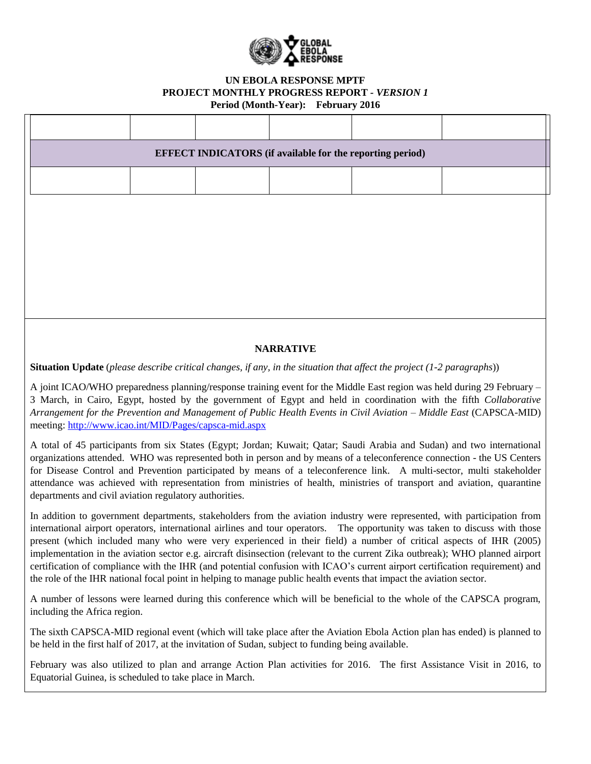

|                                                                                                                                                                                                                                                                                                                                                                                                                                                                                                                                                                 |  | <b>EFFECT INDICATORS</b> (if available for the reporting period) |  |
|-----------------------------------------------------------------------------------------------------------------------------------------------------------------------------------------------------------------------------------------------------------------------------------------------------------------------------------------------------------------------------------------------------------------------------------------------------------------------------------------------------------------------------------------------------------------|--|------------------------------------------------------------------|--|
|                                                                                                                                                                                                                                                                                                                                                                                                                                                                                                                                                                 |  |                                                                  |  |
|                                                                                                                                                                                                                                                                                                                                                                                                                                                                                                                                                                 |  |                                                                  |  |
|                                                                                                                                                                                                                                                                                                                                                                                                                                                                                                                                                                 |  |                                                                  |  |
|                                                                                                                                                                                                                                                                                                                                                                                                                                                                                                                                                                 |  |                                                                  |  |
|                                                                                                                                                                                                                                                                                                                                                                                                                                                                                                                                                                 |  |                                                                  |  |
|                                                                                                                                                                                                                                                                                                                                                                                                                                                                                                                                                                 |  |                                                                  |  |
|                                                                                                                                                                                                                                                                                                                                                                                                                                                                                                                                                                 |  | <b>NARRATIVE</b>                                                 |  |
| <b>Situation Update</b> (please describe critical changes, if any, in the situation that affect the project $(1-2$ paragraphs))                                                                                                                                                                                                                                                                                                                                                                                                                                 |  |                                                                  |  |
| A joint ICAO/WHO preparedness planning/response training event for the Middle East region was held during 29 February –<br>3 March, in Cairo, Egypt, hosted by the government of Egypt and held in coordination with the fifth Collaborative<br>Arrangement for the Prevention and Management of Public Health Events in Civil Aviation - Middle East (CAPSCA-MID)<br>meeting: http://www.icao.int/MID/Pages/capsca-mid.aspx                                                                                                                                    |  |                                                                  |  |
| A total of 45 participants from six States (Egypt; Jordan; Kuwait; Qatar; Saudi Arabia and Sudan) and two international<br>organizations attended. WHO was represented both in person and by means of a teleconference connection - the US Centers<br>for Disease Control and Prevention participated by means of a teleconference link. A multi-sector, multi stakeholder<br>attendance was achieved with representation from ministries of health, ministries of transport and aviation, quarantine<br>departments and civil aviation regulatory authorities. |  |                                                                  |  |
| In addition to government departments, stakeholders from the aviation industry were represented, with participation from                                                                                                                                                                                                                                                                                                                                                                                                                                        |  |                                                                  |  |

international airport operators, international airlines and tour operators. The opportunity was taken to discuss with those present (which included many who were very experienced in their field) a number of critical aspects of IHR (2005) implementation in the aviation sector e.g. aircraft disinsection (relevant to the current Zika outbreak); WHO planned airport certification of compliance with the IHR (and potential confusion with ICAO's current airport certification requirement) and the role of the IHR national focal point in helping to manage public health events that impact the aviation sector.

A number of lessons were learned during this conference which will be beneficial to the whole of the CAPSCA program, including the Africa region.

The sixth CAPSCA-MID regional event (which will take place after the Aviation Ebola Action plan has ended) is planned to be held in the first half of 2017, at the invitation of Sudan, subject to funding being available.

February was also utilized to plan and arrange Action Plan activities for 2016. The first Assistance Visit in 2016, to Equatorial Guinea, is scheduled to take place in March.